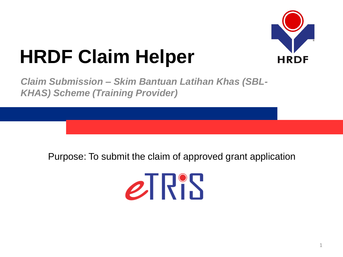

# **HRDF Claim Helper**

*Claim Submission – Skim Bantuan Latihan Khas (SBL-KHAS) Scheme (Training Provider)*

Purpose: To submit the claim of approved grant application

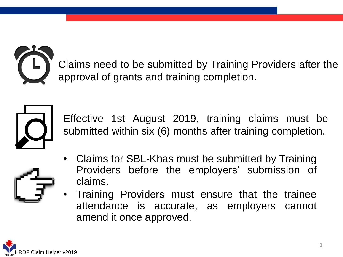

Claims need to be submitted by Training Providers after the approval of grants and training completion.



Effective 1st August 2019, training claims must be submitted within six (6) months after training completion.

- Claims for SBL-Khas must be submitted by Training Providers before the employers' submission of claims.
	- Training Providers must ensure that the trainee attendance is accurate, as employers cannot amend it once approved.

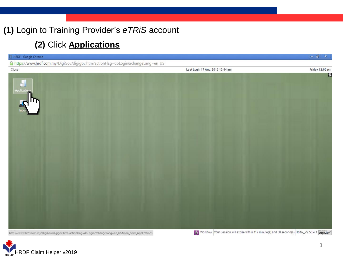## **(1)** Login to Training Provider's *eTRiS* account

## **(2)** Click **Applications**

| HRDF - Google Chrome                                                                                                                                                                                        | $-0 x$          |
|-------------------------------------------------------------------------------------------------------------------------------------------------------------------------------------------------------------|-----------------|
| A https://www.hrdf.com.my/DigiGov/digigov.htm?actionFlag=doLogin&changeLang=en_US                                                                                                                           |                 |
| Last Login 17 Aug, 2016 10:54 am<br>Close                                                                                                                                                                   | Friday 12:05 pm |
| Applications<br><b>All Trimes</b>                                                                                                                                                                           | $\mathbf{r}$    |
| Vorkflow Your Session will expire within 117 minute(s) and 58 second(s). Hotfix_V2.55.4.1 protect<br>https://www.hrdf.com.my/DigiGov/digigov.htm?actionFlag=doLogin&changeLang=en_US#icon_dock_Applications |                 |

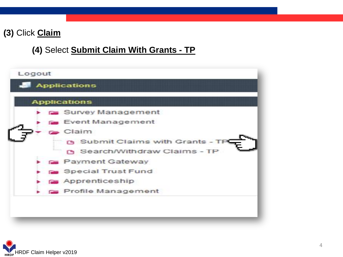## **(3)** Click **Claim**

### **(4)** Select **Submit Claim With Grants - TP**



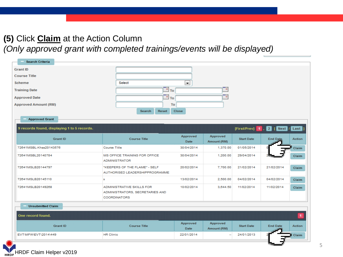## **(5)** Click **Claim** at the Action Column

*(Only approved grant with completed trainings/events will be displayed)*

| <b>Search Criteria</b>                      |                                                                                     |                            |                         |                   |                            |               |
|---------------------------------------------|-------------------------------------------------------------------------------------|----------------------------|-------------------------|-------------------|----------------------------|---------------|
| <b>Grant ID</b>                             |                                                                                     |                            |                         |                   |                            |               |
| <b>Course Title</b>                         |                                                                                     |                            |                         |                   |                            |               |
| Scheme                                      | Select                                                                              | $\blacksquare$             |                         |                   |                            |               |
| <b>Training Date</b>                        |                                                                                     | ு ™                        | P.                      |                   |                            |               |
| <b>Approved Date</b>                        |                                                                                     | $\overline{\mathbb{F}}$ To | ٠                       |                   |                            |               |
|                                             |                                                                                     | To                         |                         |                   |                            |               |
| <b>Approved Amount (RM)</b>                 | Reset<br>Search                                                                     | Close                      |                         |                   |                            |               |
|                                             |                                                                                     |                            |                         |                   |                            |               |
| <b>Approved Grant</b>                       |                                                                                     |                            |                         |                   |                            |               |
| 9 records found, displaying 1 to 5 records. |                                                                                     |                            |                         |                   | [First/Prev] 1, 2 [ Next / | Last          |
|                                             |                                                                                     | Approved                   | Approved                |                   |                            |               |
| <b>Grant ID</b>                             | <b>Course Title</b>                                                                 | <b>Date</b>                | Amount (RM)             | <b>Start Date</b> | <b>End Date</b>            | <b>Action</b> |
| 72641MSBL-Khas20143576                      | <b>Course Title</b>                                                                 | 30/04/2014                 | 1,370.00                | 01/05/2014        |                            | Claim         |
| 72641MSBL20140784                           | MS OFFICE TRAINING FOR OFFICE.<br><b>ADMINISTRATOR</b>                              | 30/04/2014                 | 1,200.00                | 29/04/2014        |                            | Claim         |
| 72641MSLB20144797                           | "KEEPERS OF THE FLAME" - SELF<br>AUTHORISED LEADERSHIPPROGRAMME                     | 20/02/2014                 | 7,700.00                | 21/02/2014        | 21/02/2014                 | Claim         |
| 72641MSLB20145110                           | s                                                                                   | 13/02/2014                 | 2,500.00                | 04/02/2014        | 04/02/2014                 | <b>Claim</b>  |
| 72641MSLB20149268                           | ADMINISTRATIVE SKILLS FOR<br>ADMINISTRATORS, SECRETARIES AND<br><b>COORDINATORS</b> | 10/02/2014                 | 3.644.50                | 11/02/2014        | 11/02/2014                 | Claim         |
| <b>Unsubmitted Claim</b>                    |                                                                                     |                            |                         |                   |                            |               |
|                                             |                                                                                     |                            |                         |                   |                            |               |
| One record found.                           |                                                                                     |                            |                         |                   |                            | $\vert$       |
| <b>Grant ID</b>                             | <b>Course Title</b>                                                                 | Approved<br><b>Date</b>    | Approved<br>Amount (RM) | <b>Start Date</b> | <b>End Date</b>            | <b>Action</b> |
| EVT\MFW\EVT\2014\449                        | <b>HR Clinic</b>                                                                    | 22/01/2014                 | ٠.                      | 24/01/2013        |                            | Claim         |
|                                             |                                                                                     |                            |                         |                   |                            |               |

HRDF Claim Helper v2019HRD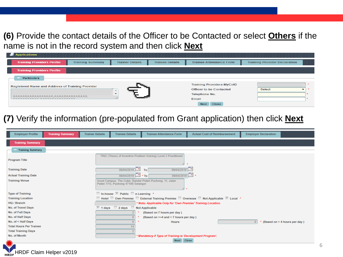**(6)** Provide the contact details of the Officer to be Contacted or select **Others** if the name is not in the record system and then click **Next**

| <b>Applications</b>                              |                         |                        |                        |                                  |                                      |         |
|--------------------------------------------------|-------------------------|------------------------|------------------------|----------------------------------|--------------------------------------|---------|
| <b>Training Providers Profile</b>                | <b>Training Summary</b> | <b>Trainer Details</b> | <b>Trainee Details</b> | <b>Trainee Attendance Form</b>   | <b>Training Provider Declaration</b> |         |
| <b>Training Providers Profile</b>                |                         |                        |                        |                                  |                                      |         |
| <b>Particulars</b>                               |                         |                        |                        |                                  |                                      |         |
| Registered Name and Address of Training Provider |                         |                        |                        | <b>Training Providers MyCoID</b> |                                      | $\star$ |
|                                                  |                         |                        |                        | <b>Officer to be Contacted</b>   | Select                               |         |
| AAAAAAAAAAAAAAAA, AAAAAAAAAAAAA,                 |                         | $\rightarrow$          |                        | <b>Telephone No.</b>             |                                      |         |
| wwwwwwww wwwwwwwwwww                             |                         |                        |                        | Email                            |                                      |         |
|                                                  |                         |                        |                        | Close<br><b>Next</b>             |                                      |         |

**(7)** Verify the information (pre-populated from Grant application) then click **Next**

| <b>Employer Profile</b>        | <b>Training Summary</b> | <b>Trainer Details</b> | <b>Trainee Details</b>              | <b>Trainee Attendance Form</b>                                  | <b>Actual Cost of Reimbursement</b>                                                     | <b>Employer Declaration</b>        |
|--------------------------------|-------------------------|------------------------|-------------------------------------|-----------------------------------------------------------------|-----------------------------------------------------------------------------------------|------------------------------------|
| <b>Training Summary</b>        |                         |                        |                                     |                                                                 |                                                                                         |                                    |
| <b>Training Summary</b>        |                         |                        |                                     |                                                                 |                                                                                         |                                    |
| <b>Program Title</b>           |                         |                        |                                     | TRIZ (Theory of Inventive Problem Solving) Level 2 Practitioner |                                                                                         |                                    |
| <b>Training Date</b>           |                         |                        | $08/04/2019$ To                     | 09/04/2019                                                      |                                                                                         |                                    |
| <b>Actual Training Date</b>    |                         |                        | $08/04/2019$ * To                   | 09/04/2019                                                      |                                                                                         |                                    |
| <b>Training Venue</b>          |                         |                        | Puteri 7/15, Puchong 47100 Selangor | Axcel Campus, The Cube, Bandar Puteri Puchong, 11, Jalan<br>⊿ ∗ |                                                                                         |                                    |
| <b>Type of Training</b>        |                         |                        | □ In-house ■ Public ■ e-Learning *  |                                                                 |                                                                                         |                                    |
| <b>Training Location</b>       |                         |                        |                                     |                                                                 | □ Hotel □ Own Premise □ External Training Premise □ Overseas □ Not Applicable ■ Local * |                                    |
| <b>HQ / Branch</b>             |                         |                        |                                     | * Note: Applicable Only for 'Own Premise' Training Location.    |                                                                                         |                                    |
| No. of Travel Days             |                         |                        | 1 days 2 days Not Applicable        |                                                                 |                                                                                         |                                    |
| No. of Full Days               |                         |                        |                                     | (Based on 7 hours per day)                                      |                                                                                         |                                    |
| No. of Half Days               |                         |                        |                                     | (Based on >=4 and <7 hours per day)                             |                                                                                         |                                    |
| No. of < Half Days             |                         |                        |                                     | <b>Hours</b>                                                    |                                                                                         | $0$ * (Based on < 4 hours per day) |
| <b>Total Hours Per Trainee</b> |                         |                        |                                     |                                                                 |                                                                                         |                                    |
| <b>Total Training Days</b>     |                         |                        |                                     |                                                                 |                                                                                         |                                    |
| No. of Month                   |                         |                        |                                     | * Mandatory if Type of Training is 'Development Program'.       |                                                                                         |                                    |
|                                |                         |                        |                                     | Next Close                                                      |                                                                                         |                                    |
|                                |                         |                        |                                     |                                                                 |                                                                                         |                                    |

HRDF Claim Helper v2019

6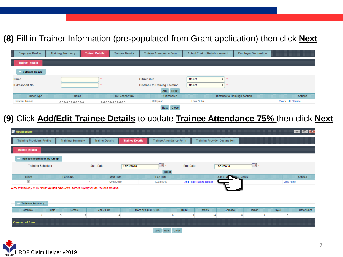## **(8)** Fill in Trainer Information (pre-populated from Grant application) then click **Next**

| <b>Employer Profile</b> | <b>Training Summary</b> | <b>Trainer Details</b> | <b>Trainee Details</b> |             | <b>Trainee Attendance Form</b>       |        | <b>Actual Cost of Reimbursement</b> | <b>Employer Declaration</b>          |                      |
|-------------------------|-------------------------|------------------------|------------------------|-------------|--------------------------------------|--------|-------------------------------------|--------------------------------------|----------------------|
| <b>Trainer Details</b>  |                         |                        |                        |             |                                      |        |                                     |                                      |                      |
| <b>External Trainer</b> |                         |                        |                        |             |                                      |        |                                     |                                      |                      |
| <b>Name</b>             |                         |                        |                        | Citizenship |                                      | Select |                                     |                                      |                      |
| IC/Passport No.         |                         |                        |                        |             | <b>Distance to Training Location</b> | Select |                                     |                                      |                      |
|                         |                         |                        |                        |             | Reset<br>Add                         |        |                                     |                                      |                      |
| <b>Trainer Type</b>     | <b>Name</b>             |                        | IC/Passport No.        |             | Citizenship                          |        |                                     | <b>Distance to Training Location</b> | <b>Actions</b>       |
| <b>External Trainer</b> | XXXXXXXXXXX             |                        | <b>XXXXXXXXXXX</b>     |             | Malaysian                            |        | Less 70 km                          |                                      | View / Edit / Delete |
|                         |                         |                        |                        |             | $M = 1$                              |        |                                     |                                      |                      |

### **(9)** Click **Add/Edit Trainee Details** to update **Trainee Attendance 75%** then click **Next**

| Applications                         |                                                                                      |                                                  |                                |                            |                                      |             | $\blacksquare$ $\blacksquare$ $\blacksquare$ $\blacksquare$ |  |  |  |
|--------------------------------------|--------------------------------------------------------------------------------------|--------------------------------------------------|--------------------------------|----------------------------|--------------------------------------|-------------|-------------------------------------------------------------|--|--|--|
| <b>Training Providers Profile</b>    | <b>Training Summary</b>                                                              | <b>Trainer Details</b><br><b>Trainee Details</b> | <b>Trainee Attendance Form</b> |                            | <b>Training Provider Declaration</b> |             |                                                             |  |  |  |
| <b>Trainee Details</b>               |                                                                                      |                                                  |                                |                            |                                      |             |                                                             |  |  |  |
| <b>Trainees Information By Group</b> |                                                                                      |                                                  |                                |                            |                                      |             |                                                             |  |  |  |
| <b>Training Schedule</b>             |                                                                                      | <b>Start Date</b><br>12/03/2019                  | $\blacksquare$                 | <b>End Date</b>            | 12/03/2019                           | To .        |                                                             |  |  |  |
|                                      |                                                                                      |                                                  | Reset                          |                            |                                      |             |                                                             |  |  |  |
| Claim                                | Batch No.                                                                            | <b>Start Date</b>                                | <b>End Date</b>                |                            | Add / Ed <b>Dage</b> Details         |             | <b>Actions</b>                                              |  |  |  |
| ✔                                    |                                                                                      | 12/03/2019                                       | 12/03/2019                     | Add / Edit Trainee Details |                                      |             | View / Edit                                                 |  |  |  |
| <b>Trainees Summary</b>              | Vote: Please key in all Batch details and SAVE before keying in the Trainee Details. |                                                  |                                |                            |                                      |             |                                                             |  |  |  |
| Batch No.                            | Male<br>Female                                                                       | Less 70 km                                       | More or equal 70 km            | Malay<br>Bumi              | Chinese                              | Indian      | <b>Other Race</b><br>Dayak                                  |  |  |  |
|                                      | 5<br>9                                                                               | 14                                               |                                |                            | 14<br>0                              | $\mathbf 0$ | $\mathbf{0}$                                                |  |  |  |
| One record found.                    |                                                                                      |                                                  |                                |                            |                                      |             |                                                             |  |  |  |
|                                      |                                                                                      |                                                  | Close<br><b>Next</b><br>Save   |                            |                                      |             |                                                             |  |  |  |

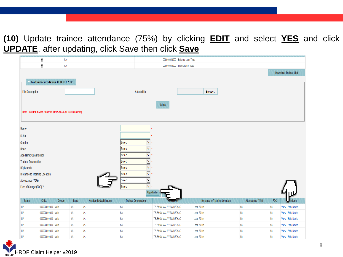**(10)** Update trainee attendance (75%) by clicking **EDIT** and select **YES** and click **UPDATE**, after updating, click Save then click **Save**

|                               | $^\copyright$                                           | <b>NA</b> |           |                               |           |                            |                         | 000000000000 External User Type |                                      |  |                  |               |                              |
|-------------------------------|---------------------------------------------------------|-----------|-----------|-------------------------------|-----------|----------------------------|-------------------------|---------------------------------|--------------------------------------|--|------------------|---------------|------------------------------|
|                               | $\circledcirc$                                          | <b>NA</b> |           |                               |           |                            |                         | 000000000000 Internal User Type |                                      |  |                  |               |                              |
|                               |                                                         |           |           |                               |           |                            |                         |                                 |                                      |  |                  |               | <b>Download Trainee List</b> |
|                               |                                                         |           |           |                               |           |                            |                         |                                 |                                      |  |                  |               |                              |
|                               | Load trainee details from XLSX or XLS file              |           |           |                               |           |                            |                         |                                 |                                      |  |                  |               |                              |
| <b>File Description</b>       |                                                         |           |           |                               |           | <b>Attach File</b>         |                         |                                 | Browse                               |  |                  |               |                              |
|                               |                                                         |           |           |                               |           |                            |                         |                                 |                                      |  |                  |               |                              |
|                               |                                                         |           |           |                               |           |                            | Upload                  |                                 |                                      |  |                  |               |                              |
|                               | Note: Maximum 2MB Allowed (Only .XLSX,.XLS are allowed) |           |           |                               |           |                            |                         |                                 |                                      |  |                  |               |                              |
|                               |                                                         |           |           |                               |           |                            |                         |                                 |                                      |  |                  |               |                              |
|                               |                                                         |           |           |                               |           |                            |                         |                                 |                                      |  |                  |               |                              |
| Name                          |                                                         |           |           |                               |           |                            |                         |                                 |                                      |  |                  |               |                              |
| IC No.                        |                                                         |           |           |                               |           |                            |                         |                                 |                                      |  |                  |               |                              |
| Gender                        |                                                         |           |           |                               | Select    | M<br>$\ddot{\phantom{1}}$  |                         |                                 |                                      |  |                  |               |                              |
| Race                          |                                                         |           |           |                               | Select    | M<br>$\star$               |                         |                                 |                                      |  |                  |               |                              |
| <b>Academic Qualification</b> |                                                         |           |           |                               | Select    | M<br>大                     |                         |                                 |                                      |  |                  |               |                              |
| <b>Trainee Designation</b>    |                                                         |           |           |                               | Select    | V∣∗                        |                         |                                 |                                      |  |                  |               |                              |
| <b>HQ/Branch</b>              |                                                         |           |           |                               | Select    | $\vee$<br>$\star$          |                         |                                 |                                      |  |                  |               |                              |
|                               | <b>Distance to Training Location</b>                    |           |           |                               | Select    | $ v $ :                    |                         |                                 |                                      |  |                  |               |                              |
| Attendance (75%)              |                                                         |           |           |                               | Select    | M                          |                         |                                 |                                      |  |                  |               |                              |
| Free of Charge (FOC) ?        |                                                         |           |           |                               | Select    | $ v $ :                    |                         |                                 |                                      |  |                  |               |                              |
|                               |                                                         |           |           |                               |           |                            | Update                  |                                 |                                      |  |                  |               |                              |
| Name                          | IC No.                                                  | Gender    | Race      | <b>Academic Qualification</b> |           | <b>Trainee Designation</b> | itypranti               |                                 | <b>Distance to Training Location</b> |  | Attendance (75%) | <b>FOC</b>    | ctions                       |
| NА                            | 000000000000 Male                                       |           | <b>NA</b> | NА                            | <b>NA</b> |                            | TELEKOM MALAYSIA BERHAD |                                 | Less 70 km                           |  | No               | No            | View / Edit / Delete         |
| <b>NA</b>                     | 000000000000 Male                                       |           | <b>NA</b> | NA                            | <b>NA</b> |                            | TELEKOM MALAYSIA BERHAD |                                 | Less 70 km                           |  | No               | No            | View / Edit / Delete         |
| <b>NA</b>                     | 000000000000 Male                                       |           | <b>NA</b> | NA                            | <b>NA</b> |                            | TELEKOM MALAYSIA BERHAD |                                 | Less 70 km                           |  | No               | No            | View / Edit / Delete         |
| <b>NA</b>                     | 000000000000 Male                                       |           | <b>NA</b> | NA                            | <b>NA</b> |                            | TELEKOM MALAYSIA BERHAD |                                 | Less 70 km                           |  | No               | $\mathsf{No}$ | View / Edit / Delete         |
| NΑ                            | 00000000000 Male                                        |           | <b>NA</b> | NA                            | <b>NA</b> |                            | TELEKOM MALAYSIA BERHAD |                                 | Less 70 km                           |  | No               | No            | View / Edit / Delete         |
| <b>NA</b>                     | 000000000000 Male                                       |           | <b>NA</b> | <b>NA</b>                     | <b>NA</b> |                            | TELEKOM MALAYSIA BERHAD |                                 | Less 70 km                           |  | <b>No</b>        | No            | View / Edit / Delete         |

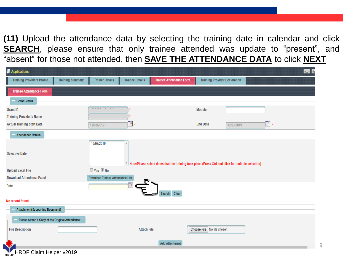**(11)** Upload the attendance data by selecting the training date in calendar and click **SEARCH**, please ensure that only trainee attended was update to "present", and "absent" for those not attended, then **SAVE THE ATTENDANCE DATA** to click **NEXT**

| Applications                                                 |                                         |                        |                                |                                      |                                                                                                     | $\Box$                                               |
|--------------------------------------------------------------|-----------------------------------------|------------------------|--------------------------------|--------------------------------------|-----------------------------------------------------------------------------------------------------|------------------------------------------------------|
| <b>Training Providers Profile</b><br><b>Training Summary</b> | <b>Trainer Details</b>                  | <b>Trainee Details</b> | <b>Trainee Attendance Form</b> | <b>Training Provider Declaration</b> |                                                                                                     |                                                      |
| <b>Trainee Attendance Form</b>                               |                                         |                        |                                |                                      |                                                                                                     |                                                      |
| <b>Grant Details</b>                                         |                                         |                        |                                |                                      |                                                                                                     |                                                      |
| <b>Grant ID</b>                                              | ------<br>$\sim$ $ \sim$<br>$\sim$ $-$  |                        |                                | Module                               |                                                                                                     |                                                      |
| <b>Training Provider's Name</b>                              |                                         |                        |                                |                                      |                                                                                                     |                                                      |
| <b>Actual Training Start Date</b>                            | 12/03/2019                              | To .                   |                                | <b>End Date</b>                      | 12/03/2019                                                                                          | $\left( \begin{array}{c} n \\ n \end{array} \right)$ |
| <b>Attendance Details</b>                                    |                                         |                        |                                |                                      |                                                                                                     |                                                      |
| <b>Selective Date</b>                                        | 12/03/2019                              |                        |                                |                                      | Note:Please select dates that the training took place (Press Ctrl and click for multiple selection) |                                                      |
| <b>Upload Excel File</b>                                     | Yes No                                  |                        |                                |                                      |                                                                                                     |                                                      |
| <b>Download Attendance Excel</b>                             | <b>Download Trainee Attendance List</b> |                        |                                |                                      |                                                                                                     |                                                      |
| Date                                                         |                                         | 10                     | Clear<br>Search                |                                      |                                                                                                     |                                                      |
| No record found.                                             |                                         |                        |                                |                                      |                                                                                                     |                                                      |
| <b>Attachment(Supporting Document)</b>                       |                                         |                        |                                |                                      |                                                                                                     |                                                      |
| Please Attach a Copy of the Original Attendance *            |                                         |                        |                                |                                      |                                                                                                     |                                                      |
| <b>File Description</b>                                      |                                         | <b>Attach File</b>     |                                | Choose File No file chosen           |                                                                                                     |                                                      |
|                                                              |                                         |                        | <b>Add Attachment</b>          |                                      |                                                                                                     |                                                      |
| HRDF Claim Helper v2019<br><b>HRDF</b>                       |                                         |                        |                                |                                      |                                                                                                     |                                                      |

9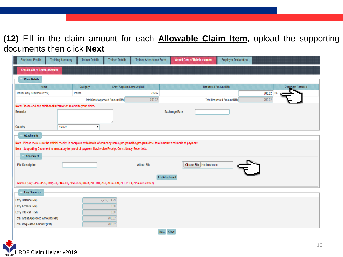## **(12)** Fill in the claim amount for each **Allowable Claim Item**, upload the supporting documents then click **Next**

| <b>Employer Profile</b>                                                                                  | <b>Training Summary</b> | <b>Trainer Details</b>                                                                                               | <b>Trainee Details</b>                 | <b>Trainee Attendance Form</b> | <b>Actual Cost of Reimbursement</b>                                                                                                                   | <b>Employer Declaration</b>       |                          |
|----------------------------------------------------------------------------------------------------------|-------------------------|----------------------------------------------------------------------------------------------------------------------|----------------------------------------|--------------------------------|-------------------------------------------------------------------------------------------------------------------------------------------------------|-----------------------------------|--------------------------|
| <b>Actual Cost of Reimbursement</b>                                                                      |                         |                                                                                                                      |                                        |                                |                                                                                                                                                       |                                   |                          |
| <b>Claim Details</b>                                                                                     |                         |                                                                                                                      |                                        |                                |                                                                                                                                                       |                                   |                          |
| Items                                                                                                    |                         | Category                                                                                                             | <b>Grant Approved Amount(RM)</b>       |                                |                                                                                                                                                       | <b>Requested Amount(RM)</b>       | <b>Document Required</b> |
| Trainee Daily Allowance (>=70)                                                                           |                         | Trainee                                                                                                              |                                        | 700.02                         |                                                                                                                                                       |                                   | 700.02<br>No             |
|                                                                                                          |                         |                                                                                                                      | <b>Total Grant Approved Amount(RM)</b> | 700.02                         |                                                                                                                                                       | <b>Total Requested Amount(RM)</b> | 700.02                   |
| Note: Please add any additional information related to your claim.                                       |                         |                                                                                                                      |                                        |                                |                                                                                                                                                       |                                   |                          |
| <b>Remarks</b>                                                                                           |                         |                                                                                                                      |                                        |                                | <b>Exchange Rate</b>                                                                                                                                  |                                   |                          |
|                                                                                                          |                         |                                                                                                                      |                                        |                                |                                                                                                                                                       |                                   |                          |
| Country                                                                                                  | Select                  | $\pmb{\mathrm{v}}$                                                                                                   |                                        |                                |                                                                                                                                                       |                                   |                          |
| <b>Attachments</b>                                                                                       |                         |                                                                                                                      |                                        |                                |                                                                                                                                                       |                                   |                          |
|                                                                                                          |                         |                                                                                                                      |                                        |                                | Note : Please make sure the official receipt is complete with details of company name, program title, program date, total amount and mode of payment. |                                   |                          |
| Note: Supporting Document is mandatory for proof of payment like.Invoice,Receipt,Consultancy Report etc. |                         |                                                                                                                      |                                        |                                |                                                                                                                                                       |                                   |                          |
| <b>Attachment</b>                                                                                        |                         |                                                                                                                      |                                        |                                |                                                                                                                                                       |                                   |                          |
| <b>File Description</b>                                                                                  |                         |                                                                                                                      |                                        | <b>Attach File</b>             | Choose File No file chosen                                                                                                                            |                                   |                          |
|                                                                                                          |                         |                                                                                                                      |                                        |                                |                                                                                                                                                       |                                   |                          |
|                                                                                                          |                         |                                                                                                                      |                                        |                                | <b>Add Attachment</b>                                                                                                                                 |                                   |                          |
|                                                                                                          |                         | Allowed (Only .JPG, JPEG, BMP, GIF, PNG, TIF, PPM, DOC, DOCX, PDF, RTF, XLS, XLSX, TXT, PPT, PPTX, PPSX are allowed) |                                        |                                |                                                                                                                                                       |                                   |                          |
|                                                                                                          |                         |                                                                                                                      |                                        |                                |                                                                                                                                                       |                                   |                          |
| Levy Summary                                                                                             |                         |                                                                                                                      |                                        |                                |                                                                                                                                                       |                                   |                          |
| Levy Balance(RM)                                                                                         |                         |                                                                                                                      | 2.719.674.99                           |                                |                                                                                                                                                       |                                   |                          |
| Levy Arrears (RM)                                                                                        |                         |                                                                                                                      | 0.00                                   |                                |                                                                                                                                                       |                                   |                          |
| Levy Interest (RM)                                                                                       |                         |                                                                                                                      | 0.00                                   |                                |                                                                                                                                                       |                                   |                          |
| <b>Total Grant Approved Amount (RM)</b>                                                                  |                         |                                                                                                                      | 700.02                                 |                                |                                                                                                                                                       |                                   |                          |
| <b>Total Requested Amount (RM)</b>                                                                       |                         |                                                                                                                      | 700.02                                 |                                |                                                                                                                                                       |                                   |                          |
|                                                                                                          |                         |                                                                                                                      |                                        | <b>Next</b>                    | Close                                                                                                                                                 |                                   |                          |

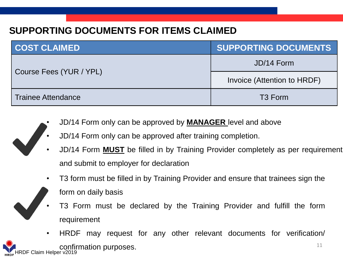## **SUPPORTING DOCUMENTS FOR ITEMS CLAIMED**

| <b>COST CLAIMED</b>       | <b>SUPPORTING DOCUMENTS</b> |
|---------------------------|-----------------------------|
|                           | JD/14 Form                  |
| Course Fees (YUR / YPL)   | Invoice (Attention to HRDF) |
| <b>Trainee Attendance</b> | T <sub>3</sub> Form         |

- JD/14 Form only can be approved by **MANAGER** level and above
- JD/14 Form only can be approved after training completion.
- JD/14 Form **MUST** be filled in by Training Provider completely as per requirement and submit to employer for declaration
- T3 form must be filled in by Training Provider and ensure that trainees sign the



- form on daily basis
- T3 Form must be declared by the Training Provider and fulfill the form requirement
- 11 HRDF Claim Helper v2019 • HRDF may request for any other relevant documents for verification/ confirmation purposes.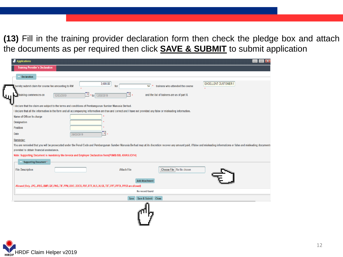**(13)** Fill in the training provider declaration form then check the pledge box and attach the documents as per required then click **SAVE & SUBMIT** to submit application

| <b>Applications</b>                                                                   |                                                                                                                                                                   |                    |                                                                                       | $\blacksquare$<br>$\overline{\phantom{a}}$                                                                                                                                                                                    |
|---------------------------------------------------------------------------------------|-------------------------------------------------------------------------------------------------------------------------------------------------------------------|--------------------|---------------------------------------------------------------------------------------|-------------------------------------------------------------------------------------------------------------------------------------------------------------------------------------------------------------------------------|
| <b>Training Provider's Declaration</b>                                                |                                                                                                                                                                   |                    |                                                                                       |                                                                                                                                                                                                                               |
| Declaration                                                                           |                                                                                                                                                                   |                    |                                                                                       |                                                                                                                                                                                                                               |
| hereby submit claim for course fee amounting to RM<br>training commences on<br>$\cup$ | 3,600.00<br>п,<br>* to 12/03/2019<br>12/03/2019                                                                                                                   | for<br>H.          | trainees who attended the course<br>14<br>and the list of trainees are as of part II. | <b>EXCELLENT CUSTOMER \$</b>                                                                                                                                                                                                  |
|                                                                                       | declare that the claim are subject to the terms and conditions of Pembangunan Sumber Manusia Berhad.                                                              |                    |                                                                                       |                                                                                                                                                                                                                               |
|                                                                                       | I declare that all the information in the form and all accompanying information are true and correct and I have not provided any false or misleading information. |                    |                                                                                       |                                                                                                                                                                                                                               |
| Name of Officer In-charge                                                             |                                                                                                                                                                   |                    |                                                                                       |                                                                                                                                                                                                                               |
| <b>Designation</b>                                                                    |                                                                                                                                                                   |                    |                                                                                       |                                                                                                                                                                                                                               |
| <b>Position</b>                                                                       |                                                                                                                                                                   |                    |                                                                                       |                                                                                                                                                                                                                               |
| <b>Date</b>                                                                           | <b>H</b><br>28/03/2019                                                                                                                                            |                    |                                                                                       |                                                                                                                                                                                                                               |
| Reminder:                                                                             |                                                                                                                                                                   |                    |                                                                                       |                                                                                                                                                                                                                               |
|                                                                                       |                                                                                                                                                                   |                    |                                                                                       | You are reminded that you will be prosecuted under the Penal Code and Pembangunan Sumber Manusia Berhad may at its discretion recover any amount paid, if false and misleading informations or false and misleading documents |
| provided to obtain financial assisstance.                                             |                                                                                                                                                                   |                    |                                                                                       |                                                                                                                                                                                                                               |
|                                                                                       | Note: Supporting Document is mandatory like Invoice and Employer Declaration form(PSMB/SBL-KHAS/JD/14)                                                            |                    |                                                                                       |                                                                                                                                                                                                                               |
| <b>Supporting Document*</b>                                                           |                                                                                                                                                                   |                    |                                                                                       |                                                                                                                                                                                                                               |
| <b>File Description</b>                                                               |                                                                                                                                                                   | <b>Attach File</b> | Choose File No file chosen                                                            |                                                                                                                                                                                                                               |
|                                                                                       |                                                                                                                                                                   |                    | <b>Add Attachment</b>                                                                 |                                                                                                                                                                                                                               |
|                                                                                       | Allowed (Only .JPG,.JPEG,.BMP,.GIF,.PNG,.TIF,.PPM,.DOC,.DOCX,.PDF,.RTF,.XLS,.XLSX,.TXT,.PPT,.PPTX,.PPSX are allowed)                                              |                    |                                                                                       |                                                                                                                                                                                                                               |
|                                                                                       |                                                                                                                                                                   |                    | No record found                                                                       |                                                                                                                                                                                                                               |
|                                                                                       |                                                                                                                                                                   | Save               | Save & Submit Close                                                                   |                                                                                                                                                                                                                               |
|                                                                                       |                                                                                                                                                                   |                    |                                                                                       |                                                                                                                                                                                                                               |